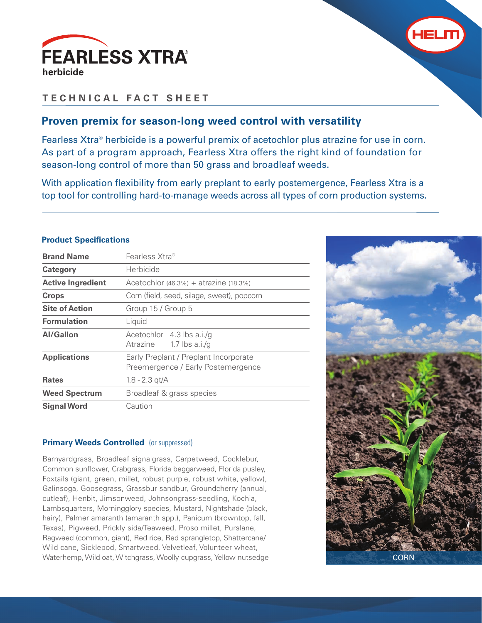



# **TECHNICAL FACT SHEET**

### **Proven premix for season-long weed control with versatility**

Fearless Xtra® herbicide is a powerful premix of acetochlor plus atrazine for use in corn. As part of a program approach, Fearless Xtra offers the right kind of foundation for season-long control of more than 50 grass and broadleaf weeds.

With application flexibility from early preplant to early postemergence, Fearless Xtra is a top tool for controlling hard-to-manage weeds across all types of corn production systems.

| <b>Product Specifications</b> |  |  |
|-------------------------------|--|--|
|-------------------------------|--|--|

| <b>Brand Name</b>        | Fearless Xtra®                                                              |
|--------------------------|-----------------------------------------------------------------------------|
| <b>Category</b>          | Herbicide                                                                   |
| <b>Active Ingredient</b> | Acetochlor $(46.3\%)$ + atrazine $(18.3\%)$                                 |
| <b>Crops</b>             | Corn (field, seed, silage, sweet), popcorn                                  |
| <b>Site of Action</b>    | Group 15 / Group 5                                                          |
| <b>Formulation</b>       | Liquid                                                                      |
| <b>Al/Gallon</b>         | Acetochlor 4.3 lbs a.i./g<br>Atrazine<br>1.7 lbs $a.i/g$                    |
| <b>Applications</b>      | Early Preplant / Preplant Incorporate<br>Preemergence / Early Postemergence |
| <b>Rates</b>             | $1.8 - 2.3$ gt/A                                                            |
| <b>Weed Spectrum</b>     | Broadleaf & grass species                                                   |
| <b>Signal Word</b>       | Caution                                                                     |

#### **Primary Weeds Controlled** (or suppressed)

Barnyardgrass, Broadleaf signalgrass, Carpetweed, Cocklebur, Common sunflower, Crabgrass, Florida beggarweed, Florida pusley, Foxtails (giant, green, millet, robust purple, robust white, yellow), Galinsoga, Goosegrass, Grassbur sandbur, Groundcherry (annual, cutleaf), Henbit, Jimsonweed, Johnsongrass-seedling, Kochia, Lambsquarters, Morningglory species, Mustard, Nightshade (black, hairy), Palmer amaranth (amaranth spp.), Panicum (browntop, fall, Texas), Pigweed, Prickly sida/Teaweed, Proso millet, Purslane, Ragweed (common, giant), Red rice, Red sprangletop, Shattercane/ Wild cane, Sicklepod, Smartweed, Velvetleaf, Volunteer wheat, Waterhemp, Wild oat, Witchgrass, Woolly cupgrass, Yellow nutsedge